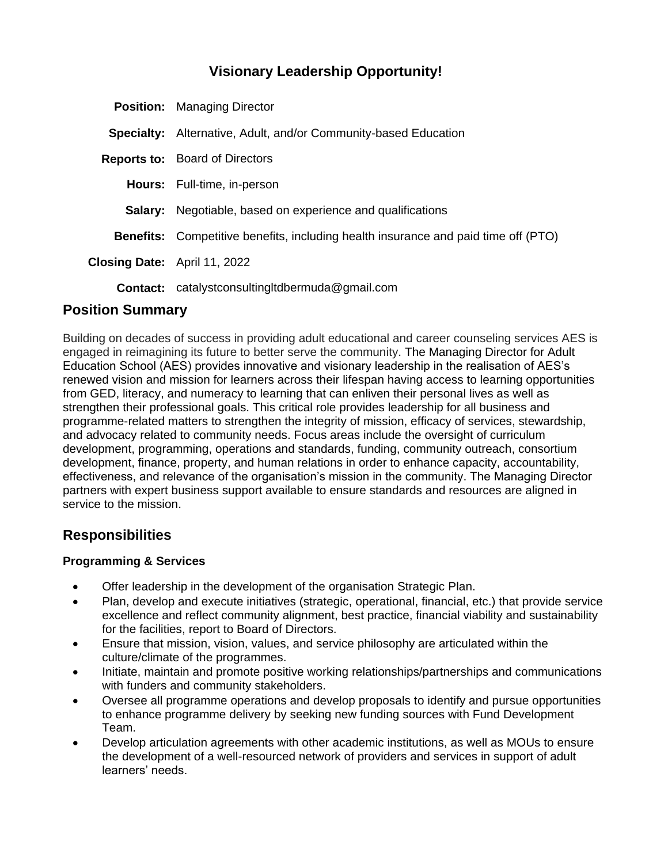# **Visionary Leadership Opportunity!**

|                                     | <b>Position:</b> Managing Director                                                        |
|-------------------------------------|-------------------------------------------------------------------------------------------|
|                                     | <b>Specialty:</b> Alternative, Adult, and/or Community-based Education                    |
|                                     | <b>Reports to:</b> Board of Directors                                                     |
|                                     | <b>Hours:</b> Full-time, in-person                                                        |
|                                     | <b>Salary:</b> Negotiable, based on experience and qualifications                         |
|                                     | <b>Benefits:</b> Competitive benefits, including health insurance and paid time off (PTO) |
| <b>Closing Date:</b> April 11, 2022 |                                                                                           |
|                                     | <b>Contact:</b> catalystconsulting tdbermuda@gmail.com                                    |

## **Position Summary**

Building on decades of success in providing adult educational and career counseling services AES is engaged in reimagining its future to better serve the community. The Managing Director for Adult Education School (AES) provides innovative and visionary leadership in the realisation of AES's renewed vision and mission for learners across their lifespan having access to learning opportunities from GED, literacy, and numeracy to learning that can enliven their personal lives as well as strengthen their professional goals. This critical role provides leadership for all business and programme-related matters to strengthen the integrity of mission, efficacy of services, stewardship, and advocacy related to community needs. Focus areas include the oversight of curriculum development, programming, operations and standards, funding, community outreach, consortium development, finance, property, and human relations in order to enhance capacity, accountability, effectiveness, and relevance of the organisation's mission in the community. The Managing Director partners with expert business support available to ensure standards and resources are aligned in service to the mission.

## **Responsibilities**

#### **Programming & Services**

- Offer leadership in the development of the organisation Strategic Plan.
- Plan, develop and execute initiatives (strategic, operational, financial, etc.) that provide service excellence and reflect community alignment, best practice, financial viability and sustainability for the facilities, report to Board of Directors.
- Ensure that mission, vision, values, and service philosophy are articulated within the culture/climate of the programmes.
- Initiate, maintain and promote positive working relationships/partnerships and communications with funders and community stakeholders.
- Oversee all programme operations and develop proposals to identify and pursue opportunities to enhance programme delivery by seeking new funding sources with Fund Development Team.
- Develop articulation agreements with other academic institutions, as well as MOUs to ensure the development of a well-resourced network of providers and services in support of adult learners' needs.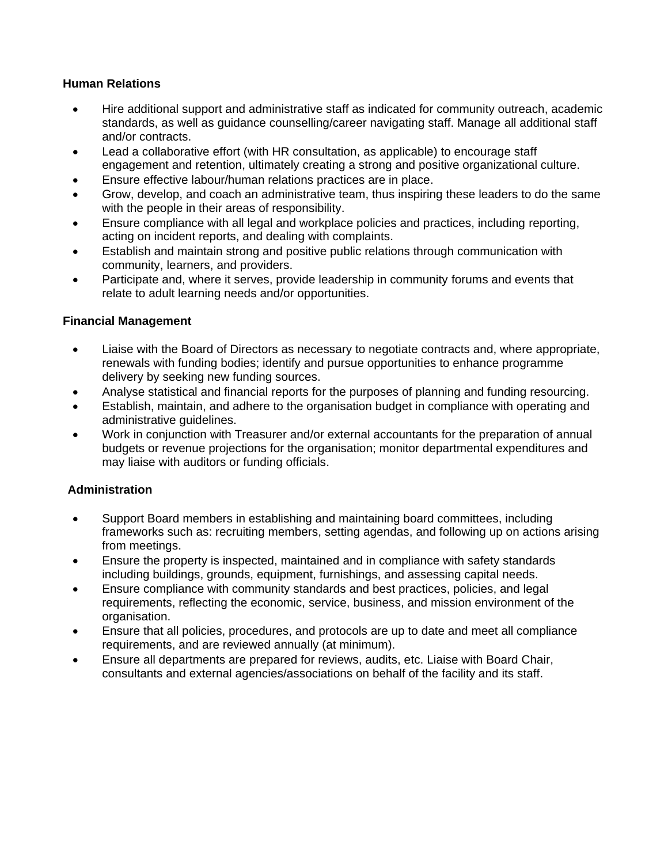#### **Human Relations**

- Hire additional support and administrative staff as indicated for community outreach, academic standards, as well as guidance counselling/career navigating staff. Manage all additional staff and/or contracts.
- Lead a collaborative effort (with HR consultation, as applicable) to encourage staff engagement and retention, ultimately creating a strong and positive organizational culture.
- Ensure effective labour/human relations practices are in place.
- Grow, develop, and coach an administrative team, thus inspiring these leaders to do the same with the people in their areas of responsibility.
- Ensure compliance with all legal and workplace policies and practices, including reporting, acting on incident reports, and dealing with complaints.
- Establish and maintain strong and positive public relations through communication with community, learners, and providers.
- Participate and, where it serves, provide leadership in community forums and events that relate to adult learning needs and/or opportunities.

#### **Financial Management**

- Liaise with the Board of Directors as necessary to negotiate contracts and, where appropriate, renewals with funding bodies; identify and pursue opportunities to enhance programme delivery by seeking new funding sources.
- Analyse statistical and financial reports for the purposes of planning and funding resourcing.
- Establish, maintain, and adhere to the organisation budget in compliance with operating and administrative guidelines.
- Work in conjunction with Treasurer and/or external accountants for the preparation of annual budgets or revenue projections for the organisation; monitor departmental expenditures and may liaise with auditors or funding officials.

#### **Administration**

- Support Board members in establishing and maintaining board committees, including frameworks such as: recruiting members, setting agendas, and following up on actions arising from meetings.
- Ensure the property is inspected, maintained and in compliance with safety standards including buildings, grounds, equipment, furnishings, and assessing capital needs.
- Ensure compliance with community standards and best practices, policies, and legal requirements, reflecting the economic, service, business, and mission environment of the organisation.
- Ensure that all policies, procedures, and protocols are up to date and meet all compliance requirements, and are reviewed annually (at minimum).
- Ensure all departments are prepared for reviews, audits, etc. Liaise with Board Chair, consultants and external agencies/associations on behalf of the facility and its staff.